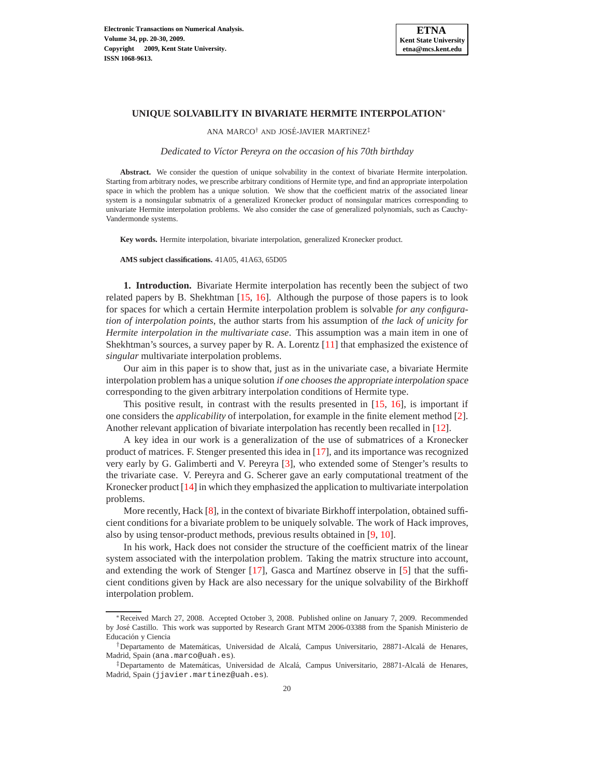

# **UNIQUE SOLVABILITY IN BIVARIATE HERMITE INTERPOLATION**<sup>∗</sup>

ANA MARCO<sup>†</sup> AND JOSÉ-JAVIER MARTÍNEZ<sup>‡</sup>

*Dedicated to V´ıctor Pereyra on the occasion of his 70th birthday*

**Abstract.** We consider the question of unique solvability in the context of bivariate Hermite interpolation. Starting from arbitrary nodes, we prescribe arbitrary conditions of Hermite type, and find an appropriate interpolation space in which the problem has a unique solution. We show that the coefficient matrix of the associated linear system is a nonsingular submatrix of a generalized Kronecker product of nonsingular matrices corresponding to univariate Hermite interpolation problems. We also consider the case of generalized polynomials, such as Cauchy-Vandermonde systems.

**Key words.** Hermite interpolation, bivariate interpolation, generalized Kronecker product.

**AMS subject classifications.** 41A05, 41A63, 65D05

**1. Introduction.** Bivariate Hermite interpolation has recently been the subject of two related papers by B. Shekhtman  $[15, 16]$  $[15, 16]$ . Although the purpose of those papers is to look for spaces for which a certain Hermite interpolation problem is solvable *for any configuration of interpolation points*, the author starts from his assumption of *the lack of unicity for Hermite interpolation in the multivariate case*. This assumption was a main item in one of Shekhtman's sources, a survey paper by R. A. Lorentz  $[11]$  that emphasized the existence of *singular* multivariate interpolation problems.

Our aim in this paper is to show that, just as in the univariate case, a bivariate Hermite interpolation problem has a unique solution if one chooses the appropriate interpolation space corresponding to the given arbitrary interpolation conditions of Hermite type.

This positive result, in contrast with the results presented in  $[15, 16]$  $[15, 16]$ , is important if one considers the *applicability* of interpolation, for example in the finite element method [\[2\]](#page-10-3). Another relevant application of bivariate interpolation has recently been recalled in [\[12\]](#page-10-4).

A key idea in our work is a generalization of the use of submatrices of a Kronecker product of matrices. F. Stenger presented this idea in [\[17\]](#page-10-5), and its importance was recognized very early by G. Galimberti and V. Pereyra [\[3\]](#page-10-6), who extended some of Stenger's results to the trivariate case. V. Pereyra and G. Scherer gave an early computational treatment of the Kronecker product  $[14]$  in which they emphasized the application to multivariate interpolation problems.

More recently, Hack [\[8\]](#page-10-8), in the context of bivariate Birkhoff interpolation, obtained sufficient conditions for a bivariate problem to be uniquely solvable. The work of Hack improves, also by using tensor-product methods, previous results obtained in [\[9,](#page-10-9) [10\]](#page-10-10).

In his work, Hack does not consider the structure of the coefficient matrix of the linear system associated with the interpolation problem. Taking the matrix structure into account, and extending the work of Stenger  $[17]$ , Gasca and Martínez observe in  $[5]$  that the sufficient conditions given by Hack are also necessary for the unique solvability of the Birkhoff interpolation problem.

<sup>∗</sup>Received March 27, 2008. Accepted October 3, 2008. Published online on January 7, 2009. Recommended by José Castillo. This work was supported by Research Grant MTM 2006-03388 from the Spanish Ministerio de Educación y Ciencia

<sup>&</sup>lt;sup>†</sup>Departamento de Matemáticas, Universidad de Alcalá, Campus Universitario, 28871-Alcalá de Henares, Madrid, Spain (ana.marco@uah.es).

<sup>&</sup>lt;sup>‡</sup>Departamento de Matemáticas, Universidad de Alcalá, Campus Universitario, 28871-Alcalá de Henares, Madrid, Spain (jjavier.martinez@uah.es).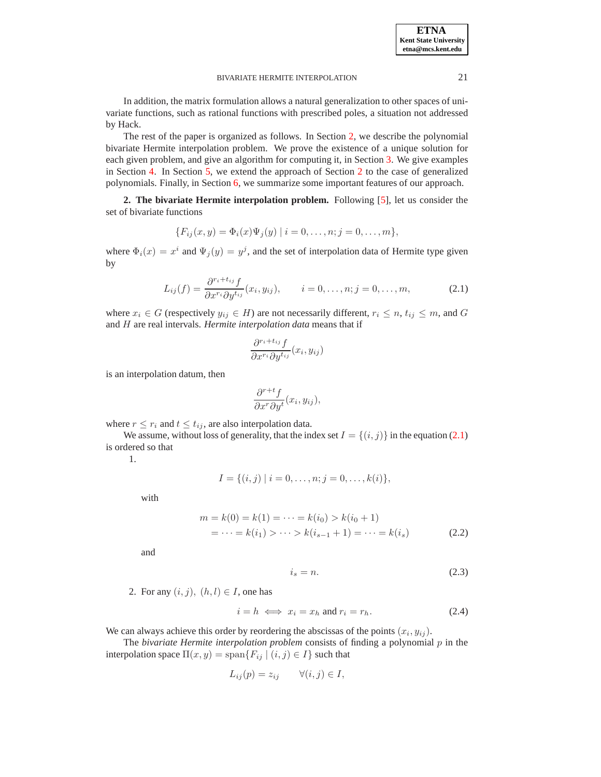**ETNA Kent State University etna@mcs.kent.edu**

#### BIVARIATE HERMITE INTERPOLATION 21

In addition, the matrix formulation allows a natural generalization to other spaces of univariate functions, such as rational functions with prescribed poles, a situation not addressed by Hack.

The rest of the paper is organized as follows. In Section [2,](#page-1-0) we describe the polynomial bivariate Hermite interpolation problem. We prove the existence of a unique solution for each given problem, and give an algorithm for computing it, in Section [3.](#page-2-0) We give examples in Section [4.](#page-4-0) In Section [5,](#page-8-0) we extend the approach of Section [2](#page-1-0) to the case of generalized polynomials. Finally, in Section [6,](#page-10-12) we summarize some important features of our approach.

<span id="page-1-0"></span>**2. The bivariate Hermite interpolation problem.** Following [\[5\]](#page-10-11), let us consider the set of bivariate functions

$$
\{F_{ij}(x,y) = \Phi_i(x)\Psi_j(y) \mid i = 0,\ldots,n; j = 0,\ldots,m\},\
$$

where  $\Phi_i(x) = x^i$  and  $\Psi_j(y) = y^j$ , and the set of interpolation data of Hermite type given by

<span id="page-1-1"></span>
$$
L_{ij}(f) = \frac{\partial^{r_i + t_{ij}} f}{\partial x^{r_i} \partial y^{t_{ij}}}(x_i, y_{ij}), \qquad i = 0, \dots, n; j = 0, \dots, m,
$$
 (2.1)

where  $x_i \in G$  (respectively  $y_{ij} \in H$ ) are not necessarily different,  $r_i \leq n$ ,  $t_{ij} \leq m$ , and G and H are real intervals. *Hermite interpolation data* means that if

$$
\frac{\partial^{r_i+t_{ij}}f}{\partial x^{r_i}\partial y^{t_{ij}}}(x_i,y_{ij})
$$

is an interpolation datum, then

$$
\frac{\partial^{r+t}f}{\partial x^r \partial y^t}(x_i, y_{ij}),
$$

where 
$$
r \leq r_i
$$
 and  $t \leq t_{ij}$ , are also interpolation data.

We assume, without loss of generality, that the index set  $I = \{(i, j)\}\$ in the equation [\(2.1\)](#page-1-1) is ordered so that

1.

$$
I = \{(i, j) | i = 0, \dots, n; j = 0, \dots, k(i)\},\
$$

with

$$
m = k(0) = k(1) = \dots = k(i_0) > k(i_0 + 1)
$$
  
= \dots = k(i\_1) > \dots > k(i\_{s-1} + 1) = \dots = k(i\_s) (2.2)

and

<span id="page-1-3"></span><span id="page-1-2"></span>
$$
i_s = n. \tag{2.3}
$$

2. For any  $(i, j)$ ,  $(h, l) \in I$ , one has

$$
i = h \iff x_i = x_h \text{ and } r_i = r_h. \tag{2.4}
$$

We can always achieve this order by reordering the abscissas of the points  $(x_i, y_{ij})$ .

The *bivariate Hermite interpolation problem* consists of finding a polynomial  $p$  in the interpolation space  $\Pi(x, y) = \text{span}\{F_{ij} \mid (i, j) \in I\}$  such that

$$
L_{ij}(p) = z_{ij} \qquad \forall (i, j) \in I,
$$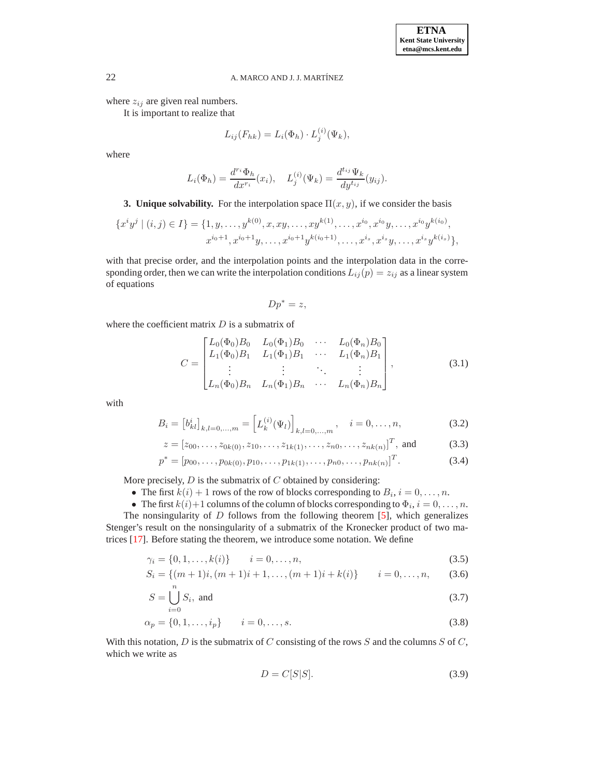where  $z_{ij}$  are given real numbers.

It is important to realize that

$$
L_{ij}(F_{hk}) = L_i(\Phi_h) \cdot L_j^{(i)}(\Psi_k),
$$

where

$$
L_i(\Phi_h) = \frac{d^{r_i} \Phi_h}{dx^{r_i}}(x_i), \quad L_j^{(i)}(\Psi_k) = \frac{d^{t_{ij}} \Psi_k}{dy^{t_{ij}}}(y_{ij}).
$$

<span id="page-2-0"></span>**3. Unique solvability.** For the interpolation space  $\Pi(x, y)$ , if we consider the basis

$$
\{x^i y^j \mid (i,j) \in I\} = \{1, y, \dots, y^{k(0)}, x, xy, \dots, xy^{k(1)}, \dots, x^{i_0}, x^{i_0} y, \dots, x^{i_0} y^{k(i_0)},
$$
  

$$
x^{i_0+1}, x^{i_0+1} y, \dots, x^{i_0+1} y^{k(i_0+1)}, \dots, x^{i_s}, x^{i_s} y, \dots, x^{i_s} y^{k(i_s)}\},
$$

with that precise order, and the interpolation points and the interpolation data in the corresponding order, then we can write the interpolation conditions  $L_{ij}(p) = z_{ij}$  as a linear system of equations

$$
Dp^* = z,
$$

where the coefficient matrix  $D$  is a submatrix of

<span id="page-2-1"></span>
$$
C = \begin{bmatrix} L_0(\Phi_0)B_0 & L_0(\Phi_1)B_0 & \cdots & L_0(\Phi_n)B_0 \\ L_1(\Phi_0)B_1 & L_1(\Phi_1)B_1 & \cdots & L_1(\Phi_n)B_1 \\ \vdots & \vdots & \ddots & \vdots \\ L_n(\Phi_0)B_n & L_n(\Phi_1)B_n & \cdots & L_n(\Phi_n)B_n \end{bmatrix},
$$
(3.1)

with

$$
B_i = [b_{kl}^i]_{k,l=0,\dots,m} = [L_k^{(i)}(\Psi_l)]_{k,l=0,\dots,m}, \quad i = 0,\dots,n,
$$
\n(3.2)

$$
z = [z_{00}, \dots, z_{0k(0)}, z_{10}, \dots, z_{1k(1)}, \dots, z_{n0}, \dots, z_{nk(n)}]^T, \text{ and } (3.3)
$$

$$
p^* = [p_{00}, \dots, p_{0k(0)}, p_{10}, \dots, p_{1k(1)}, \dots, p_{n0}, \dots, p_{nk(n)}]^T.
$$
 (3.4)

More precisely,  $D$  is the submatrix of  $C$  obtained by considering:

- The first  $k(i) + 1$  rows of the row of blocks corresponding to  $B_i$ ,  $i = 0, \ldots, n$ .
- The first  $k(i) + 1$  columns of the column of blocks corresponding to  $\Phi_i$ ,  $i = 0, \ldots, n$ .

The nonsingularity of  $D$  follows from the following theorem [\[5\]](#page-10-11), which generalizes Stenger's result on the nonsingularity of a submatrix of the Kronecker product of two matrices [\[17\]](#page-10-5). Before stating the theorem, we introduce some notation. We define

$$
\gamma_i = \{0, 1, \dots, k(i)\} \qquad i = 0, \dots, n,
$$
\n(3.5)

$$
S_i = \{(m+1)i, (m+1)i+1, \dots, (m+1)i+k(i)\} \qquad i = 0, \dots, n,
$$
 (3.6)

$$
S = \bigcup_{i=0}^{n} S_i, \text{ and } \tag{3.7}
$$

$$
\alpha_p = \{0, 1, \dots, i_p\} \qquad i = 0, \dots, s. \tag{3.8}
$$

With this notation,  $D$  is the submatrix of  $C$  consisting of the rows  $S$  and the columns  $S$  of  $C$ , which we write as

<span id="page-2-2"></span>
$$
D = C[S|S]. \tag{3.9}
$$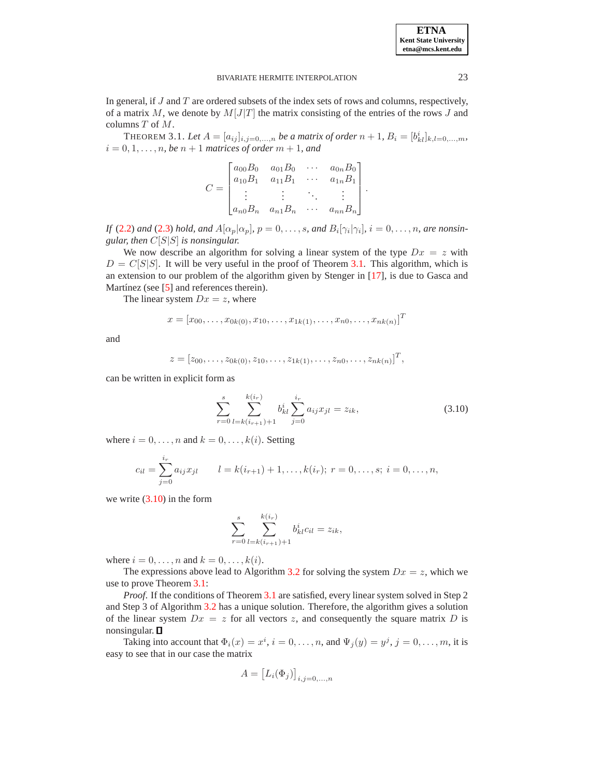#### **ETNA Kent State University etna@mcs.kent.edu**

#### BIVARIATE HERMITE INTERPOLATION 23

In general, if  $J$  and  $T$  are ordered subsets of the index sets of rows and columns, respectively, of a matrix  $M$ , we denote by  $M[J|T]$  the matrix consisting of the entries of the rows  $J$  and columns T of M.

<span id="page-3-0"></span>THEOREM 3.1. Let  $A = [a_{ij}]_{i,j=0,...,n}$  be a matrix of order  $n + 1$ ,  $B_i = [b_{kl}^i]_{k,l=0,...,m}$ ,  $i = 0, 1, \ldots, n$ , be  $n + 1$  *matrices of order*  $m + 1$ , and

$$
C = \begin{bmatrix} a_{00}B_0 & a_{01}B_0 & \cdots & a_{0n}B_0 \\ a_{10}B_1 & a_{11}B_1 & \cdots & a_{1n}B_1 \\ \vdots & \vdots & \ddots & \vdots \\ a_{n0}B_n & a_{n1}B_n & \cdots & a_{nn}B_n \end{bmatrix}.
$$

*If* [\(2.2\)](#page-1-2) and [\(2.3\)](#page-1-3) hold, and  $A[\alpha_p|\alpha_p]$ ,  $p = 0, \ldots, s$ , and  $B_i[\gamma_i|\gamma_i]$ ,  $i = 0, \ldots, n$ , are nonsin*gular, then* C[S|S] *is nonsingular.*

We now describe an algorithm for solving a linear system of the type  $Dx = z$  with  $D = C[S|S]$ . It will be very useful in the proof of Theorem [3.1.](#page-3-0) This algorithm, which is an extension to our problem of the algorithm given by Stenger in [\[17\]](#page-10-5), is due to Gasca and Martínez (see  $[5]$  and references therein).

The linear system  $Dx = z$ , where

$$
x = [x_{00}, \dots, x_{0k(0)}, x_{10}, \dots, x_{1k(1)}, \dots, x_{n0}, \dots, x_{nk(n)}]^T
$$

and

$$
z = [z_{00}, \ldots, z_{0k(0)}, z_{10}, \ldots, z_{1k(1)}, \ldots, z_{n0}, \ldots, z_{nk(n)}]^T,
$$

can be written in explicit form as

<span id="page-3-1"></span>
$$
\sum_{r=0}^{s} \sum_{l=k(i_{r+1})+1}^{k(i_r)} b_{kl}^i \sum_{j=0}^{i_r} a_{ij} x_{jl} = z_{ik},
$$
\n(3.10)

where  $i = 0, \ldots, n$  and  $k = 0, \ldots, k(i)$ . Setting

$$
c_{il} = \sum_{j=0}^{i_r} a_{ij} x_{jl} \qquad l = k(i_{r+1}) + 1, \dots, k(i_r); \ r = 0, \dots, s; \ i = 0, \dots, n,
$$

we write [\(3.10\)](#page-3-1) in the form

$$
\sum_{r=0}^{s} \sum_{l=k(i_{r+1})+1}^{k(i_r)} b_{kl}^{i} c_{il} = z_{ik},
$$

where  $i = 0, \ldots, n$  and  $k = 0, \ldots, k(i)$ .

The expressions above lead to Algorithm [3.2](#page-4-1) for solving the system  $Dx = z$ , which we use to prove Theorem [3.1:](#page-3-0)

*Proof.* If the conditions of Theorem [3.1](#page-3-0) are satisfied, every linear system solved in Step 2 and Step 3 of Algorithm [3.2](#page-4-1) has a unique solution. Therefore, the algorithm gives a solution of the linear system  $Dx = z$  for all vectors z, and consequently the square matrix D is nonsingular.

Taking into account that  $\Phi_i(x) = x^i$ ,  $i = 0, \dots, n$ , and  $\Psi_j(y) = y^j$ ,  $j = 0, \dots, m$ , it is easy to see that in our case the matrix

$$
A = [L_i(\Phi_j)]_{i,j=0,\ldots,n}
$$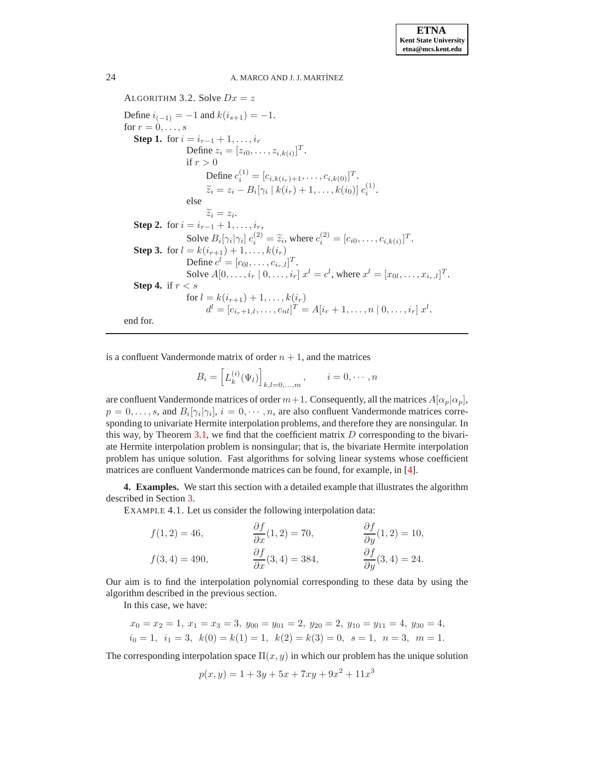<span id="page-4-1"></span>ALGORITHM 3.2. Solve  $Dx = z$ Define  $i_{(-1)} = -1$  and  $k(i_{s+1}) = -1$ . for  $r = 0, \ldots, s$ **Step 1.** for  $i = i_{r-1} + 1, \ldots, i_r$ Define  $z_i = [z_{i0}, \dots, z_{i,k(i)}]^T$ . if  $r > 0$ Define  $c_i^{(1)} = [c_{i,k(i_r)+1}, \ldots, c_{i,k(0)}]^T$ .  $\widetilde{z}_i = z_i - B_i[\gamma_i \mid k(i_r) + 1, \ldots, k(i_0)] \ c_i^{(1)}.$ else  $\widetilde{z}_i = z_i.$ **Step 2.** for  $i = i_{r-1} + 1, ..., i_r$ , Solve  $B_i[\gamma_i|\gamma_i] c_i^{(2)} = \tilde{z}_i$ , where  $c_i^{(2)} = [c_{i0}, \dots, c_{i,k(i)}]^T$ . **Step 3.** for  $l = k(i_{r+1}) + 1, ..., k(i_r)$ Define  $c^{l} = [c_{0l}, \dots, c_{i_r,l}]^T$ . Solve  $A[0, \ldots, i_r \mid 0, \ldots, i_r]$   $x^l = c^l$ , where  $x^l = [x_{0l}, \ldots, x_{i_r,l}]^T$ . **Step 4.** if r < s for  $l = k(i_{r+1}) + 1, \ldots, k(i_r)$  $d^{l} = [c_{i_{r}+1,l}, \ldots, c_{nl}]^{T} = A[i_{r}+1, \ldots, n \mid 0, \ldots, i_{r}] x^{l}.$ end for.

is a confluent Vandermonde matrix of order  $n + 1$ , and the matrices

$$
B_i = \left[ L_k^{(i)}(\Psi_l) \right]_{k,l=0,...,m}, \qquad i = 0, \cdots, n
$$

are confluent Vandermonde matrices of order  $m+1$ . Consequently, all the matrices  $A[\alpha_p|\alpha_p]$ ,  $p = 0, \ldots, s$ , and  $B_i[\gamma_i | \gamma_i], i = 0, \cdots, n$ , are also confluent Vandermonde matrices corresponding to univariate Hermite interpolation problems, and therefore they are nonsingular. In this way, by Theorem [3.1,](#page-3-0) we find that the coefficient matrix  $D$  corresponding to the bivariate Hermite interpolation problem is nonsingular; that is, the bivariate Hermite interpolation problem has unique solution. Fast algorithms for solving linear systems whose coefficient matrices are confluent Vandermonde matrices can be found, for example, in [\[4\]](#page-10-13).

<span id="page-4-0"></span>**4. Examples.** We start this section with a detailed example that illustrates the algorithm described in Section [3.](#page-2-0)

EXAMPLE 4.1. Let us consider the following interpolation data:

$$
f(1,2) = 46,
$$
  
\n
$$
f(3,4) = 490,
$$
  
\n
$$
\frac{\partial f}{\partial x}(1,2) = 70,
$$
  
\n
$$
\frac{\partial f}{\partial y}(1,2) = 10,
$$
  
\n
$$
\frac{\partial f}{\partial y}(3,4) = 24.
$$
  
\n
$$
\frac{\partial f}{\partial y}(3,4) = 24.
$$

Our aim is to find the interpolation polynomial corresponding to these data by using the algorithm described in the previous section.

In this case, we have:

$$
x_0 = x_2 = 1
$$
,  $x_1 = x_3 = 3$ ,  $y_{00} = y_{01} = 2$ ,  $y_{20} = 2$ ,  $y_{10} = y_{11} = 4$ ,  $y_{30} = 4$ ,  
 $i_0 = 1$ ,  $i_1 = 3$ ,  $k(0) = k(1) = 1$ ,  $k(2) = k(3) = 0$ ,  $s = 1$ ,  $n = 3$ ,  $m = 1$ .

The corresponding interpolation space  $\Pi(x, y)$  in which our problem has the unique solution

$$
p(x, y) = 1 + 3y + 5x + 7xy + 9x^2 + 11x^3
$$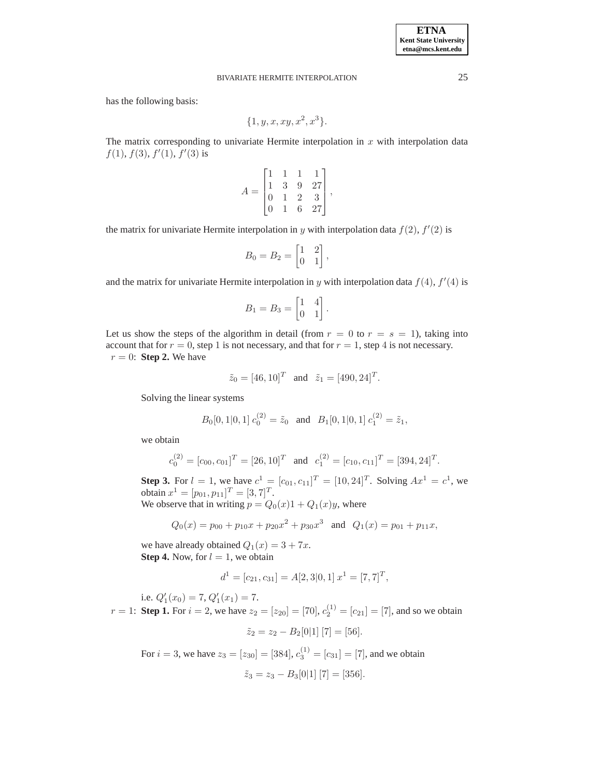# BIVARIATE HERMITE INTERPOLATION 25

has the following basis:

$$
\{1, y, x, xy, x^2, x^3\}.
$$

The matrix corresponding to univariate Hermite interpolation in  $x$  with interpolation data  $f(1), f(3), f'(1), f'(3)$  is

$$
A = \begin{bmatrix} 1 & 1 & 1 & 1 \\ 1 & 3 & 9 & 27 \\ 0 & 1 & 2 & 3 \\ 0 & 1 & 6 & 27 \end{bmatrix},
$$

the matrix for univariate Hermite interpolation in y with interpolation data  $f(2)$ ,  $f'(2)$  is

$$
B_0 = B_2 = \begin{bmatrix} 1 & 2 \\ 0 & 1 \end{bmatrix},
$$

and the matrix for univariate Hermite interpolation in y with interpolation data  $f(4)$ ,  $f'(4)$  is

$$
B_1 = B_3 = \begin{bmatrix} 1 & 4 \\ 0 & 1 \end{bmatrix}.
$$

Let us show the steps of the algorithm in detail (from  $r = 0$  to  $r = s = 1$ ), taking into account that for  $r = 0$ , step 1 is not necessary, and that for  $r = 1$ , step 4 is not necessary.  $r = 0$ : **Step 2.** We have

$$
\tilde{z}_0 = [46, 10]^T
$$
 and  $\tilde{z}_1 = [490, 24]^T$ .

Solving the linear systems

$$
B_0[0, 1|0, 1] c_0^{(2)} = \tilde{z}_0
$$
 and  $B_1[0, 1|0, 1] c_1^{(2)} = \tilde{z}_1$ ,

we obtain

$$
c_0^{(2)} = [c_{00}, c_{01}]^T = [26, 10]^T
$$
 and  $c_1^{(2)} = [c_{10}, c_{11}]^T = [394, 24]^T$ .

**Step 3.** For  $l = 1$ , we have  $c^1 = [c_{01}, c_{11}]^T = [10, 24]^T$ . Solving  $Ax^1 = c^1$ , we obtain  $x^1 = [p_{01}, p_{11}]^T = [3, 7]^T$ . We observe that in writing  $p = Q_0(x)1 + Q_1(x)y$ , where

$$
Q_0(x) = p_{00} + p_{10}x + p_{20}x^2 + p_{30}x^3 \text{ and } Q_1(x) = p_{01} + p_{11}x,
$$

we have already obtained  $Q_1(x) = 3 + 7x$ . **Step 4.** Now, for  $l = 1$ , we obtain

$$
d1 = [c21, c31] = A[2, 3|0, 1] x1 = [7, 7]T,
$$

i.e.  $Q'_1(x_0) = 7, Q'_1(x_1) = 7.$ 

 $r = 1$ : **Step 1.** For  $i = 2$ , we have  $z_2 = [z_{20}] = [70]$ ,  $c_2^{(1)} = [c_{21}] = [7]$ , and so we obtain

$$
\tilde{z}_2 = z_2 - B_2[0|1] [7] = [56].
$$

For  $i = 3$ , we have  $z_3 = [z_{30}] = [384], c_3^{(1)} = [c_{31}] = [7]$ , and we obtain

$$
\tilde{z}_3 = z_3 - B_3[0|1] [7] = [356].
$$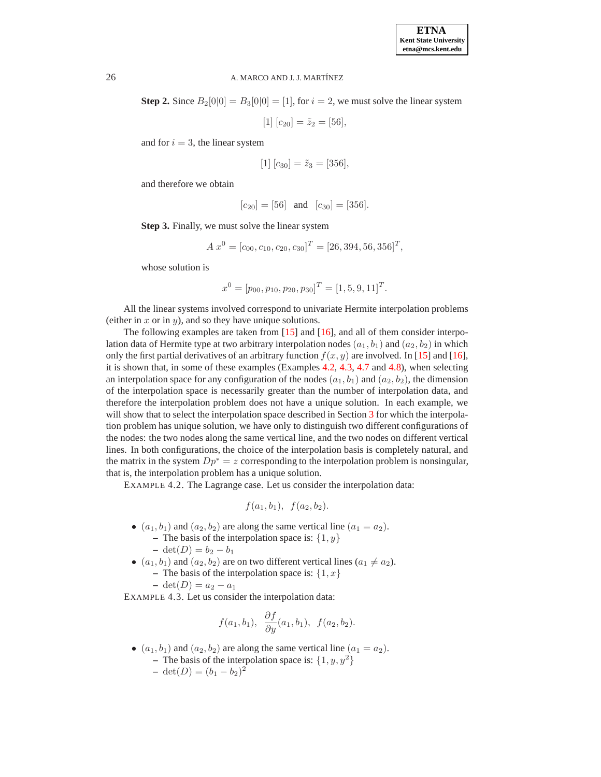**Step 2.** Since  $B_2[0]0] = B_3[0]0] = [1]$ , for  $i = 2$ , we must solve the linear system

 $[1] [c_{20}] = \tilde{z}_2 = [56],$ 

and for  $i = 3$ , the linear system

$$
[1] [c_{30}] = \tilde{z}_3 = [356],
$$

and therefore we obtain

$$
[c_{20}] = [56]
$$
 and  $[c_{30}] = [356]$ .

**Step 3.** Finally, we must solve the linear system

$$
A x^0 = [c_{00}, c_{10}, c_{20}, c_{30}]^T = [26, 394, 56, 356]^T,
$$

whose solution is

$$
x^0 = [p_{00}, p_{10}, p_{20}, p_{30}]^T = [1, 5, 9, 11]^T.
$$

All the linear systems involved correspond to univariate Hermite interpolation problems (either in x or in y), and so they have unique solutions.

The following examples are taken from [\[15\]](#page-10-0) and [\[16\]](#page-10-1), and all of them consider interpolation data of Hermite type at two arbitrary interpolation nodes  $(a_1, b_1)$  and  $(a_2, b_2)$  in which only the first partial derivatives of an arbitrary function  $f(x, y)$  are involved. In [\[15\]](#page-10-0) and [\[16\]](#page-10-1), it is shown that, in some of these examples (Examples [4.2,](#page-6-0) [4.3,](#page-6-1) [4.7](#page-7-0) and [4.8\)](#page-7-1), when selecting an interpolation space for any configuration of the nodes  $(a_1, b_1)$  and  $(a_2, b_2)$ , the dimension of the interpolation space is necessarily greater than the number of interpolation data, and therefore the interpolation problem does not have a unique solution. In each example, we will show that to select the interpolation space described in Section [3](#page-2-0) for which the interpolation problem has unique solution, we have only to distinguish two different configurations of the nodes: the two nodes along the same vertical line, and the two nodes on different vertical lines. In both configurations, the choice of the interpolation basis is completely natural, and the matrix in the system  $Dp^* = z$  corresponding to the interpolation problem is nonsingular, that is, the interpolation problem has a unique solution.

<span id="page-6-0"></span>EXAMPLE 4.2. The Lagrange case. Let us consider the interpolation data:

$$
f(a_1, b_1), f(a_2, b_2).
$$

- $(a_1, b_1)$  and  $(a_2, b_2)$  are along the same vertical line  $(a_1 = a_2)$ .
	- **–** The basis of the interpolation space is:  $\{1, y\}$  $-\det(D) = b_2 - b_1$
- $(a_1, b_1)$  and  $(a_2, b_2)$  are on two different vertical lines  $(a_1 \neq a_2)$ . – The basis of the interpolation space is:  $\{1, x\}$

$$
- \det(D) = a_2 - a_1
$$

<span id="page-6-1"></span>EXAMPLE 4.3. Let us consider the interpolation data:

$$
f(a_1, b_1), \frac{\partial f}{\partial y}(a_1, b_1), f(a_2, b_2).
$$

•  $(a_1, b_1)$  and  $(a_2, b_2)$  are along the same vertical line  $(a_1 = a_2)$ . **–** The basis of the interpolation space is:  $\{1, y, y^2\}$ **−** det(*D*) =  $(b_1 - b_2)^2$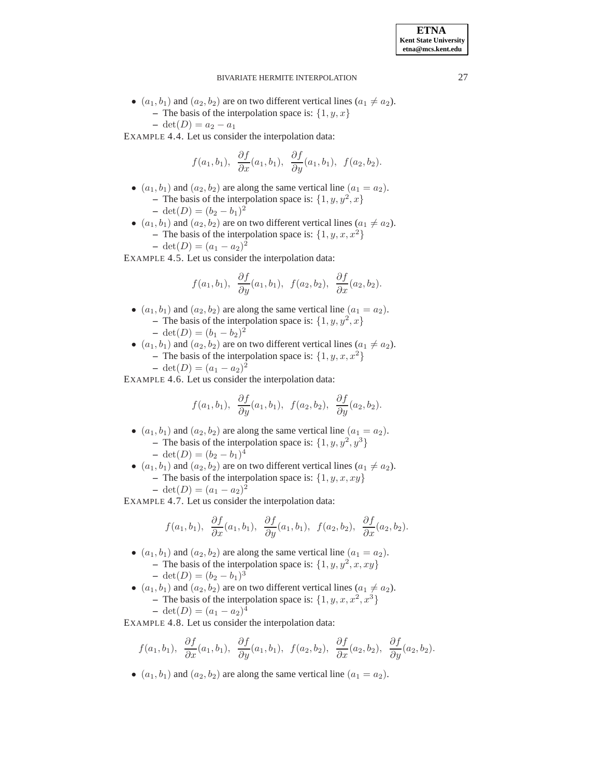## BIVARIATE HERMITE INTERPOLATION 27

•  $(a_1, b_1)$  and  $(a_2, b_2)$  are on two different vertical lines  $(a_1 \neq a_2)$ . **–** The basis of the interpolation space is:  $\{1, y, x\}$ 

 $-$  det(*D*) =  $a_2 - a_1$ 

EXAMPLE 4.4. Let us consider the interpolation data:

$$
f(a_1, b_1), \frac{\partial f}{\partial x}(a_1, b_1), \frac{\partial f}{\partial y}(a_1, b_1), f(a_2, b_2).
$$

- $(a_1, b_1)$  and  $(a_2, b_2)$  are along the same vertical line  $(a_1 = a_2)$ . - The basis of the interpolation space is:  $\{1, y, y^2, x\}$ **−** det(*D*) =  $(b_2 - b_1)^2$
- $(a_1, b_1)$  and  $(a_2, b_2)$  are on two different vertical lines  $(a_1 \neq a_2)$ . **–** The basis of the interpolation space is:  $\{1, y, x, x^2\}$  $- \det(D) = (a_1 - a_2)^2$

EXAMPLE 4.5. Let us consider the interpolation data:

$$
f(a_1, b_1), \frac{\partial f}{\partial y}(a_1, b_1), f(a_2, b_2), \frac{\partial f}{\partial x}(a_2, b_2).
$$

- $(a_1, b_1)$  and  $(a_2, b_2)$  are along the same vertical line  $(a_1 = a_2)$ . - The basis of the interpolation space is:  $\{1, y, y^2, x\}$ **−** det(*D*) =  $(b_1 - b_2)^2$
- $(a_1, b_1)$  and  $(a_2, b_2)$  are on two different vertical lines  $(a_1 \neq a_2)$ . **–** The basis of the interpolation space is:  $\{1, y, x, x^2\}$ 
	- $\det(D) = (a_1 a_2)^2$

EXAMPLE 4.6. Let us consider the interpolation data:

$$
f(a_1,b_1), \frac{\partial f}{\partial y}(a_1,b_1), f(a_2,b_2), \frac{\partial f}{\partial y}(a_2,b_2).
$$

- $(a_1, b_1)$  and  $(a_2, b_2)$  are along the same vertical line  $(a_1 = a_2)$ . - The basis of the interpolation space is:  $\{1, y, y^2, y^3\}$ **−** det(*D*) =  $(b_2 - b_1)^4$
- $(a_1, b_1)$  and  $(a_2, b_2)$  are on two different vertical lines  $(a_1 \neq a_2)$ . – The basis of the interpolation space is:  $\{1, y, x, xy\}$  $- \det(D) = (a_1 - a_2)^2$

<span id="page-7-0"></span>EXAMPLE 4.7. Let us consider the interpolation data:

$$
f(a_1, b_1), \frac{\partial f}{\partial x}(a_1, b_1), \frac{\partial f}{\partial y}(a_1, b_1), f(a_2, b_2), \frac{\partial f}{\partial x}(a_2, b_2).
$$

- $(a_1, b_1)$  and  $(a_2, b_2)$  are along the same vertical line  $(a_1 = a_2)$ . - The basis of the interpolation space is:  $\{1, y, y^2, x, xy\}$ **−** det(*D*) =  $(b_2 - b_1)^3$
- $(a_1, b_1)$  and  $(a_2, b_2)$  are on two different vertical lines  $(a_1 \neq a_2)$ . - The basis of the interpolation space is:  $\{1, y, x, x^2, x^3\}$ 4

$$
- \det(D) = (a_1 - a_2)^4
$$

<span id="page-7-1"></span>EXAMPLE 4.8. Let us consider the interpolation data:

$$
f(a_1, b_1), \frac{\partial f}{\partial x}(a_1, b_1), \frac{\partial f}{\partial y}(a_1, b_1), f(a_2, b_2), \frac{\partial f}{\partial x}(a_2, b_2), \frac{\partial f}{\partial y}(a_2, b_2).
$$

•  $(a_1, b_1)$  and  $(a_2, b_2)$  are along the same vertical line  $(a_1 = a_2)$ .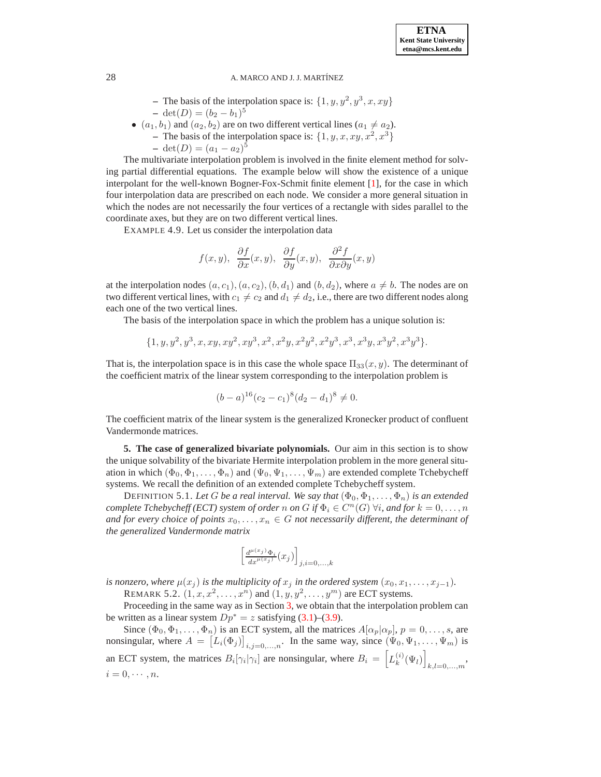- The basis of the interpolation space is:  $\{1, y, y^2, y^3, x, xy\}$ **−** det(*D*) =  $(b_2 - b_1)^5$
- $(a_1, b_1)$  and  $(a_2, b_2)$  are on two different vertical lines  $(a_1 \neq a_2)$ .
	- The basis of the interpolation space is:  $\{1, y, x, xy, x^2, x^3\}$

$$
- \det(D) = (a_1 - a_2)^5
$$

The multivariate interpolation problem is involved in the finite element method for solving partial differential equations. The example below will show the existence of a unique interpolant for the well-known Bogner-Fox-Schmit finite element [\[1\]](#page-10-14), for the case in which four interpolation data are prescribed on each node. We consider a more general situation in which the nodes are not necessarily the four vertices of a rectangle with sides parallel to the coordinate axes, but they are on two different vertical lines.

EXAMPLE 4.9. Let us consider the interpolation data

$$
f(x, y), \frac{\partial f}{\partial x}(x, y), \frac{\partial f}{\partial y}(x, y), \frac{\partial^2 f}{\partial x \partial y}(x, y)
$$

at the interpolation nodes  $(a, c_1), (a, c_2), (b, d_1)$  and  $(b, d_2)$ , where  $a \neq b$ . The nodes are on two different vertical lines, with  $c_1 \neq c_2$  and  $d_1 \neq d_2$ , i.e., there are two different nodes along each one of the two vertical lines.

The basis of the interpolation space in which the problem has a unique solution is:

$$
\{1, y, y^2, y^3, x, xy, xy^2, xy^3, x^2, x^2y, x^2y^2, x^2y^3, x^3, x^3y, x^3y^2, x^3y^3\}.
$$

That is, the interpolation space is in this case the whole space  $\Pi_{33}(x, y)$ . The determinant of the coefficient matrix of the linear system corresponding to the interpolation problem is

$$
(b-a)^{16}(c_2-c_1)^8(d_2-d_1)^8 \neq 0.
$$

The coefficient matrix of the linear system is the generalized Kronecker product of confluent Vandermonde matrices.

<span id="page-8-0"></span>**5. The case of generalized bivariate polynomials.** Our aim in this section is to show the unique solvability of the bivariate Hermite interpolation problem in the more general situation in which  $(\Phi_0, \Phi_1, \ldots, \Phi_n)$  and  $(\Psi_0, \Psi_1, \ldots, \Psi_m)$  are extended complete Tchebycheff systems. We recall the definition of an extended complete Tchebycheff system.

DEFINITION 5.1. Let G be a real interval. We say that  $(\Phi_0, \Phi_1, \ldots, \Phi_n)$  is an extended *complete Tchebycheff (ECT) system of order*  $n$  *on*  $G$  *if*  $\Phi_i \in C^n(G)$   $\forall i$ *, and for*  $k = 0, \ldots, n$ *and for every choice of points*  $x_0, \ldots, x_n \in G$  *not necessarily different, the determinant of the generalized Vandermonde matrix*

$$
\left[\tfrac{d^{\mu(x_j)}\Phi_i}{dx^{\mu(x_j)}}(x_j)\right]_{j,i=0,...,k}
$$

*is nonzero, where*  $\mu(x_i)$  *is the multiplicity of*  $x_i$  *in the ordered system*  $(x_0, x_1, \ldots, x_{i-1})$ *.* 

REMARK 5.2.  $(1, x, x^2, \dots, x^n)$  and  $(1, y, y^2, \dots, y^m)$  are ECT systems.

Proceeding in the same way as in Section [3,](#page-2-0) we obtain that the interpolation problem can be written as a linear system  $Dp^* = z$  satisfying [\(3.1\)](#page-2-1)–[\(3.9\)](#page-2-2).

Since  $(\Phi_0, \Phi_1, \dots, \Phi_n)$  is an ECT system, all the matrices  $A[\alpha_p|\alpha_p], p = 0, \dots, s$ , are nonsingular, where  $A = [L_i(\Phi_j)]_{i,j=0,\dots,n}$ . In the same way, since  $(\Psi_0, \Psi_1, \dots, \Psi_m)$  is an ECT system, the matrices  $B_i[\gamma_i|\gamma_i]$  are nonsingular, where  $B_i = \left[ L_k^{(i)} \right]$  $\binom{i}{k}(\Psi_l)$  $_{k,l=0,...,m}$ <sup>\*</sup>  $i = 0, \cdots, n$ .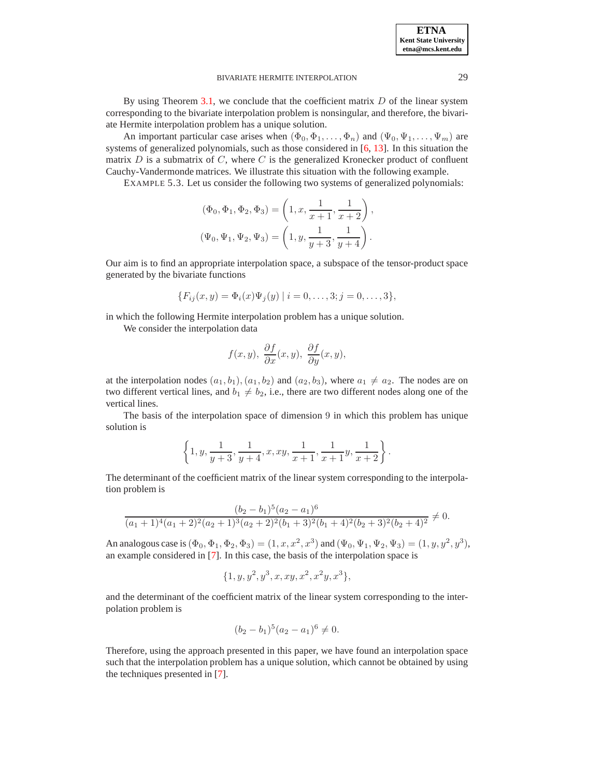#### BIVARIATE HERMITE INTERPOLATION 29

By using Theorem [3.1,](#page-3-0) we conclude that the coefficient matrix  $D$  of the linear system corresponding to the bivariate interpolation problem is nonsingular, and therefore, the bivariate Hermite interpolation problem has a unique solution.

An important particular case arises when  $(\Phi_0, \Phi_1, \dots, \Phi_n)$  and  $(\Psi_0, \Psi_1, \dots, \Psi_m)$  are systems of generalized polynomials, such as those considered in [\[6,](#page-10-15) [13\]](#page-10-16). In this situation the matrix  $D$  is a submatrix of  $C$ , where  $C$  is the generalized Kronecker product of confluent Cauchy-Vandermonde matrices. We illustrate this situation with the following example.

EXAMPLE 5.3. Let us consider the following two systems of generalized polynomials:

$$
(\Phi_0, \Phi_1, \Phi_2, \Phi_3) = \left(1, x, \frac{1}{x+1}, \frac{1}{x+2}\right),
$$
  

$$
(\Psi_0, \Psi_1, \Psi_2, \Psi_3) = \left(1, y, \frac{1}{y+3}, \frac{1}{y+4}\right).
$$

Our aim is to find an appropriate interpolation space, a subspace of the tensor-product space generated by the bivariate functions

$$
\{F_{ij}(x,y) = \Phi_i(x)\Psi_j(y) \mid i = 0,\ldots,3; j = 0,\ldots,3\},\
$$

in which the following Hermite interpolation problem has a unique solution.

We consider the interpolation data

$$
f(x, y), \frac{\partial f}{\partial x}(x, y), \frac{\partial f}{\partial y}(x, y),
$$

at the interpolation nodes  $(a_1, b_1), (a_1, b_2)$  and  $(a_2, b_3)$ , where  $a_1 \neq a_2$ . The nodes are on two different vertical lines, and  $b_1 \neq b_2$ , i.e., there are two different nodes along one of the vertical lines.

The basis of the interpolation space of dimension 9 in which this problem has unique solution is

$$
\left\{1,y,\frac{1}{y+3},\frac{1}{y+4},x,xy,\frac{1}{x+1},\frac{1}{x+1}y,\frac{1}{x+2}\right\}.
$$

The determinant of the coefficient matrix of the linear system corresponding to the interpolation problem is

$$
\frac{(b_2 - b_1)^5 (a_2 - a_1)^6}{(a_1 + 1)^4 (a_1 + 2)^2 (a_2 + 1)^3 (a_2 + 2)^2 (b_1 + 3)^2 (b_1 + 4)^2 (b_2 + 3)^2 (b_2 + 4)^2} \neq 0.
$$

An analogous case is  $(\Phi_0, \Phi_1, \Phi_2, \Phi_3) = (1, x, x^2, x^3)$  and  $(\Psi_0, \Psi_1, \Psi_2, \Psi_3) = (1, y, y^2, y^3)$ , an example considered in [\[7\]](#page-10-17). In this case, the basis of the interpolation space is

$$
\{1, y, y^2, y^3, x, xy, x^2, x^2y, x^3\},\
$$

and the determinant of the coefficient matrix of the linear system corresponding to the interpolation problem is

$$
(b_2 - b_1)^5 (a_2 - a_1)^6 \neq 0.
$$

Therefore, using the approach presented in this paper, we have found an interpolation space such that the interpolation problem has a unique solution, which cannot be obtained by using the techniques presented in [\[7\]](#page-10-17).